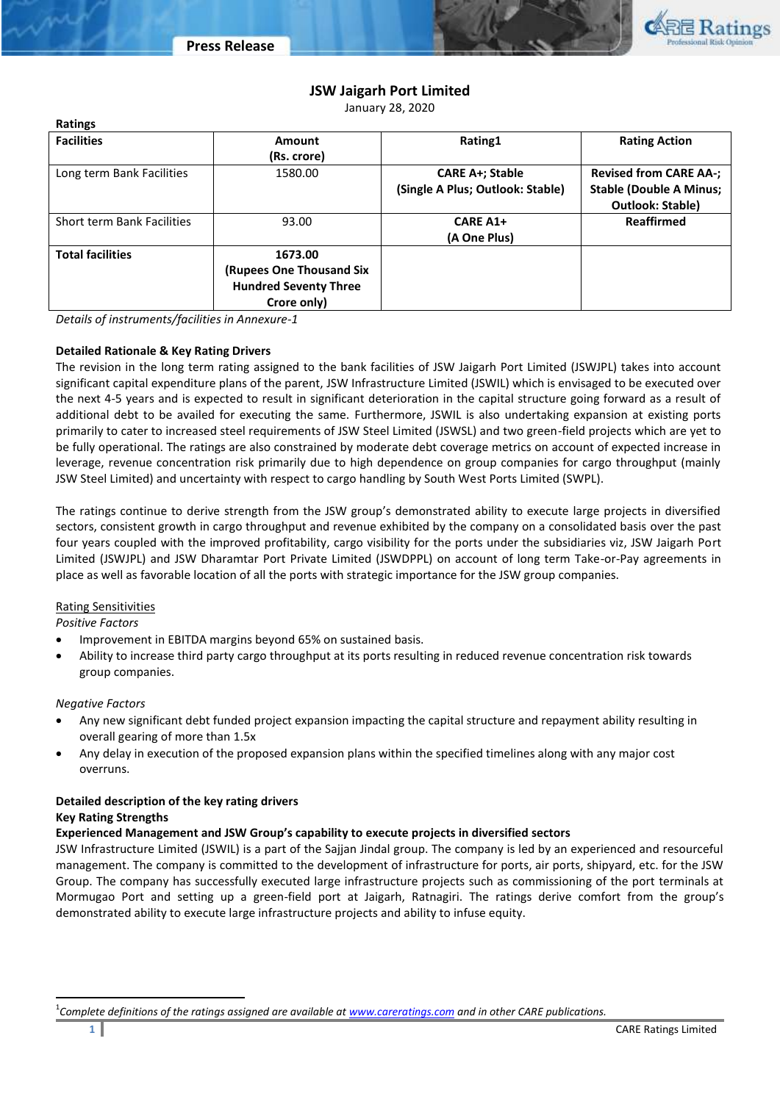

# **JSW Jaigarh Port Limited**

January 28, 2020

| <b>Ratings</b>             |                                                                                    |                                                            |                                                                                            |
|----------------------------|------------------------------------------------------------------------------------|------------------------------------------------------------|--------------------------------------------------------------------------------------------|
| <b>Facilities</b>          | Amount<br>(Rs. crore)                                                              | Rating1                                                    | <b>Rating Action</b>                                                                       |
| Long term Bank Facilities  | 1580.00                                                                            | <b>CARE A+; Stable</b><br>(Single A Plus; Outlook: Stable) | <b>Revised from CARE AA-;</b><br><b>Stable (Double A Minus;</b><br><b>Outlook: Stable)</b> |
| Short term Bank Facilities | 93.00                                                                              | <b>CARE A1+</b><br>(A One Plus)                            | <b>Reaffirmed</b>                                                                          |
| <b>Total facilities</b>    | 1673.00<br>(Rupees One Thousand Six<br><b>Hundred Seventy Three</b><br>Crore only) |                                                            |                                                                                            |

*Details of instruments/facilities in Annexure-1*

### **Detailed Rationale & Key Rating Drivers**

The revision in the long term rating assigned to the bank facilities of JSW Jaigarh Port Limited (JSWJPL) takes into account significant capital expenditure plans of the parent, JSW Infrastructure Limited (JSWIL) which is envisaged to be executed over the next 4-5 years and is expected to result in significant deterioration in the capital structure going forward as a result of additional debt to be availed for executing the same. Furthermore, JSWIL is also undertaking expansion at existing ports primarily to cater to increased steel requirements of JSW Steel Limited (JSWSL) and two green-field projects which are yet to be fully operational. The ratings are also constrained by moderate debt coverage metrics on account of expected increase in leverage, revenue concentration risk primarily due to high dependence on group companies for cargo throughput (mainly JSW Steel Limited) and uncertainty with respect to cargo handling by South West Ports Limited (SWPL).

The ratings continue to derive strength from the JSW group's demonstrated ability to execute large projects in diversified sectors, consistent growth in cargo throughput and revenue exhibited by the company on a consolidated basis over the past four years coupled with the improved profitability, cargo visibility for the ports under the subsidiaries viz, JSW Jaigarh Port Limited (JSWJPL) and JSW Dharamtar Port Private Limited (JSWDPPL) on account of long term Take-or-Pay agreements in place as well as favorable location of all the ports with strategic importance for the JSW group companies.

### Rating Sensitivities

*Positive Factors*

- Improvement in EBITDA margins beyond 65% on sustained basis.
- Ability to increase third party cargo throughput at its ports resulting in reduced revenue concentration risk towards group companies.

### *Negative Factors*

 $\overline{a}$ 

- Any new significant debt funded project expansion impacting the capital structure and repayment ability resulting in overall gearing of more than 1.5x
- Any delay in execution of the proposed expansion plans within the specified timelines along with any major cost overruns.

## **Detailed description of the key rating drivers Key Rating Strengths**

# **Experienced Management and JSW Group's capability to execute projects in diversified sectors**

JSW Infrastructure Limited (JSWIL) is a part of the Sajjan Jindal group. The company is led by an experienced and resourceful management. The company is committed to the development of infrastructure for ports, air ports, shipyard, etc. for the JSW Group. The company has successfully executed large infrastructure projects such as commissioning of the port terminals at Mormugao Port and setting up a green-field port at Jaigarh, Ratnagiri. The ratings derive comfort from the group's demonstrated ability to execute large infrastructure projects and ability to infuse equity.

<sup>1</sup> *Complete definitions of the ratings assigned are available a[t www.careratings.com](http://www.careratings.com/) and in other CARE publications.*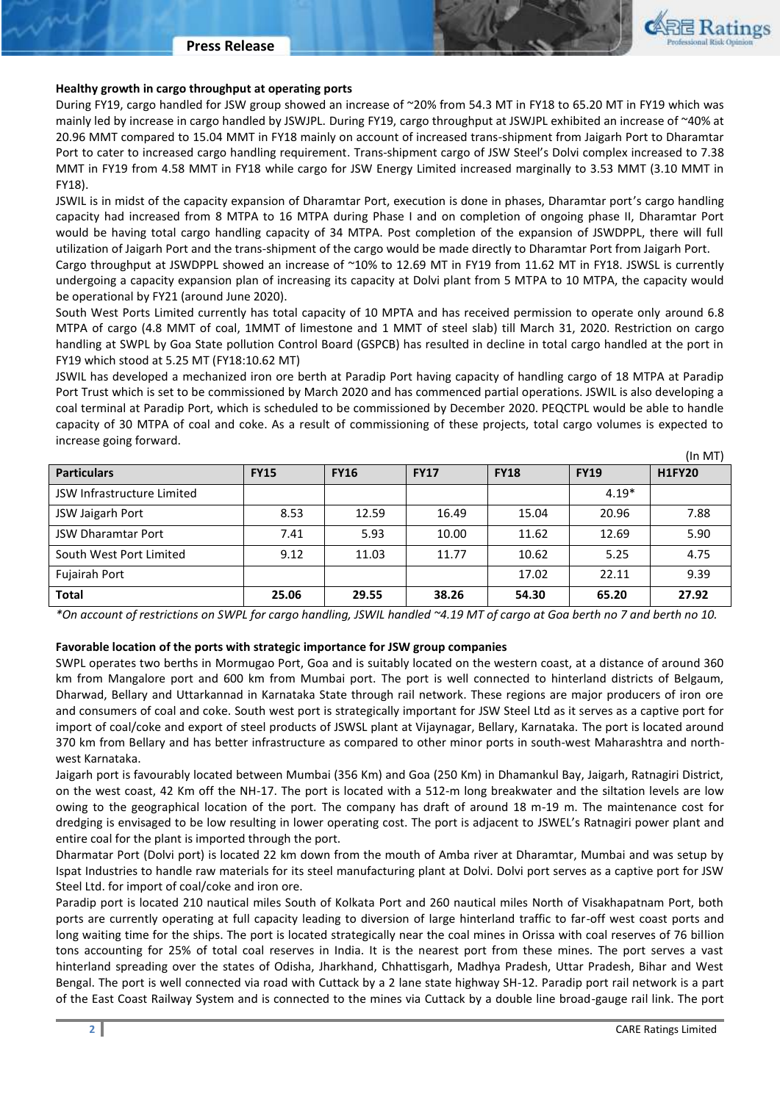

### **Healthy growth in cargo throughput at operating ports**

During FY19, cargo handled for JSW group showed an increase of ~20% from 54.3 MT in FY18 to 65.20 MT in FY19 which was mainly led by increase in cargo handled by JSWJPL. During FY19, cargo throughput at JSWJPL exhibited an increase of ~40% at 20.96 MMT compared to 15.04 MMT in FY18 mainly on account of increased trans-shipment from Jaigarh Port to Dharamtar Port to cater to increased cargo handling requirement. Trans-shipment cargo of JSW Steel's Dolvi complex increased to 7.38 MMT in FY19 from 4.58 MMT in FY18 while cargo for JSW Energy Limited increased marginally to 3.53 MMT (3.10 MMT in FY18).

JSWIL is in midst of the capacity expansion of Dharamtar Port, execution is done in phases, Dharamtar port's cargo handling capacity had increased from 8 MTPA to 16 MTPA during Phase I and on completion of ongoing phase II, Dharamtar Port would be having total cargo handling capacity of 34 MTPA. Post completion of the expansion of JSWDPPL, there will full utilization of Jaigarh Port and the trans-shipment of the cargo would be made directly to Dharamtar Port from Jaigarh Port. Cargo throughput at JSWDPPL showed an increase of ~10% to 12.69 MT in FY19 from 11.62 MT in FY18. JSWSL is currently undergoing a capacity expansion plan of increasing its capacity at Dolvi plant from 5 MTPA to 10 MTPA, the capacity would

be operational by FY21 (around June 2020).

South West Ports Limited currently has total capacity of 10 MPTA and has received permission to operate only around 6.8 MTPA of cargo (4.8 MMT of coal, 1MMT of limestone and 1 MMT of steel slab) till March 31, 2020. Restriction on cargo handling at SWPL by Goa State pollution Control Board (GSPCB) has resulted in decline in total cargo handled at the port in FY19 which stood at 5.25 MT (FY18:10.62 MT)

JSWIL has developed a mechanized iron ore berth at Paradip Port having capacity of handling cargo of 18 MTPA at Paradip Port Trust which is set to be commissioned by March 2020 and has commenced partial operations. JSWIL is also developing a coal terminal at Paradip Port, which is scheduled to be commissioned by December 2020. PEQCTPL would be able to handle capacity of 30 MTPA of coal and coke. As a result of commissioning of these projects, total cargo volumes is expected to increase going forward.

|                                   |             |             |             |             |             | $($ In MT $)$ |
|-----------------------------------|-------------|-------------|-------------|-------------|-------------|---------------|
| <b>Particulars</b>                | <b>FY15</b> | <b>FY16</b> | <b>FY17</b> | <b>FY18</b> | <b>FY19</b> | <b>H1FY20</b> |
| <b>JSW Infrastructure Limited</b> |             |             |             |             | $4.19*$     |               |
| JSW Jaigarh Port                  | 8.53        | 12.59       | 16.49       | 15.04       | 20.96       | 7.88          |
| <b>JSW Dharamtar Port</b>         | 7.41        | 5.93        | 10.00       | 11.62       | 12.69       | 5.90          |
| South West Port Limited           | 9.12        | 11.03       | 11.77       | 10.62       | 5.25        | 4.75          |
| Fujairah Port                     |             |             |             | 17.02       | 22.11       | 9.39          |
| <b>Total</b>                      | 25.06       | 29.55       | 38.26       | 54.30       | 65.20       | 27.92         |

*\*On account of restrictions on SWPL for cargo handling, JSWIL handled ~4.19 MT of cargo at Goa berth no 7 and berth no 10.* 

### **Favorable location of the ports with strategic importance for JSW group companies**

SWPL operates two berths in Mormugao Port, Goa and is suitably located on the western coast, at a distance of around 360 km from Mangalore port and 600 km from Mumbai port. The port is well connected to hinterland districts of Belgaum, Dharwad, Bellary and Uttarkannad in Karnataka State through rail network. These regions are major producers of iron ore and consumers of coal and coke. South west port is strategically important for JSW Steel Ltd as it serves as a captive port for import of coal/coke and export of steel products of JSWSL plant at Vijaynagar, Bellary, Karnataka. The port is located around 370 km from Bellary and has better infrastructure as compared to other minor ports in south-west Maharashtra and northwest Karnataka.

Jaigarh port is favourably located between Mumbai (356 Km) and Goa (250 Km) in Dhamankul Bay, Jaigarh, Ratnagiri District, on the west coast, 42 Km off the NH-17. The port is located with a 512-m long breakwater and the siltation levels are low owing to the geographical location of the port. The company has draft of around 18 m-19 m. The maintenance cost for dredging is envisaged to be low resulting in lower operating cost. The port is adjacent to JSWEL's Ratnagiri power plant and entire coal for the plant is imported through the port.

Dharmatar Port (Dolvi port) is located 22 km down from the mouth of Amba river at Dharamtar, Mumbai and was setup by Ispat Industries to handle raw materials for its steel manufacturing plant at Dolvi. Dolvi port serves as a captive port for JSW Steel Ltd. for import of coal/coke and iron ore.

Paradip port is located 210 nautical miles South of Kolkata Port and 260 nautical miles North of Visakhapatnam Port, both ports are currently operating at full capacity leading to diversion of large hinterland traffic to far-off west coast ports and long waiting time for the ships. The port is located strategically near the coal mines in Orissa with coal reserves of 76 billion tons accounting for 25% of total coal reserves in India. It is the nearest port from these mines. The port serves a vast hinterland spreading over the states of Odisha, Jharkhand, Chhattisgarh, Madhya Pradesh, Uttar Pradesh, Bihar and West Bengal. The port is well connected via road with Cuttack by a 2 lane state highway SH-12. Paradip port rail network is a part of the East Coast Railway System and is connected to the mines via Cuttack by a double line broad-gauge rail link. The port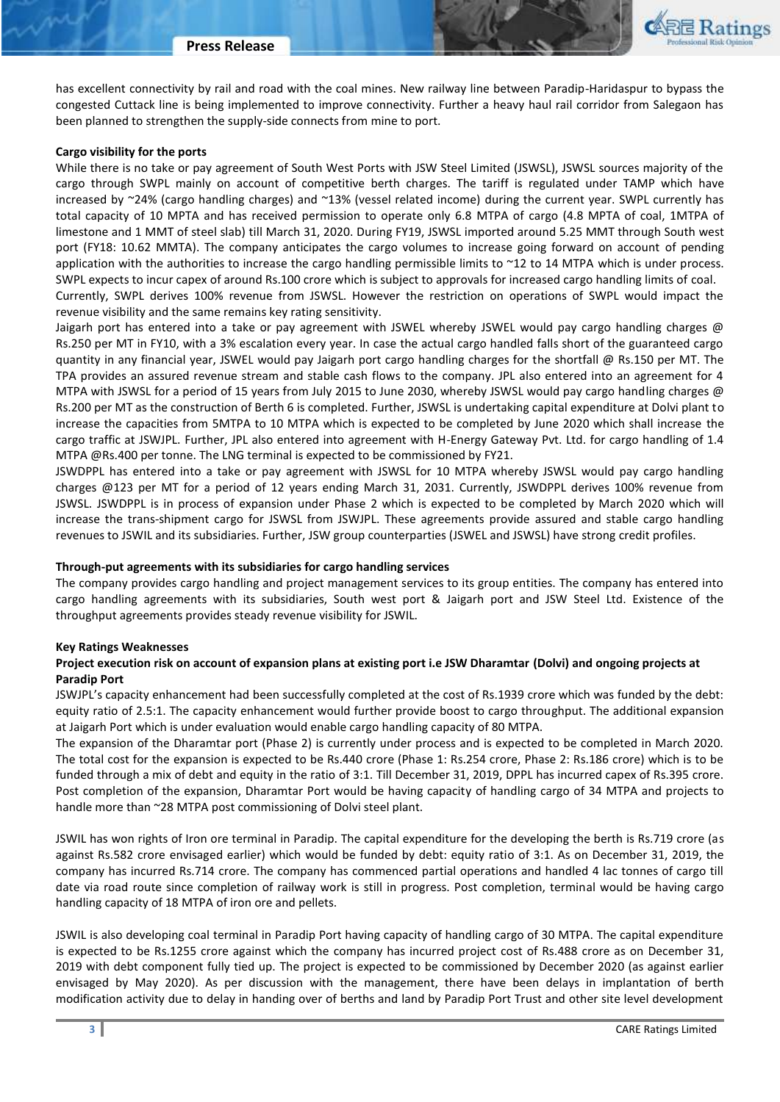

has excellent connectivity by rail and road with the coal mines. New railway line between Paradip-Haridaspur to bypass the congested Cuttack line is being implemented to improve connectivity. Further a heavy haul rail corridor from Salegaon has been planned to strengthen the supply-side connects from mine to port.

### **Cargo visibility for the ports**

While there is no take or pay agreement of South West Ports with JSW Steel Limited (JSWSL), JSWSL sources majority of the cargo through SWPL mainly on account of competitive berth charges. The tariff is regulated under TAMP which have increased by ~24% (cargo handling charges) and ~13% (vessel related income) during the current year. SWPL currently has total capacity of 10 MPTA and has received permission to operate only 6.8 MTPA of cargo (4.8 MPTA of coal, 1MTPA of limestone and 1 MMT of steel slab) till March 31, 2020. During FY19, JSWSL imported around 5.25 MMT through South west port (FY18: 10.62 MMTA). The company anticipates the cargo volumes to increase going forward on account of pending application with the authorities to increase the cargo handling permissible limits to ~12 to 14 MTPA which is under process. SWPL expects to incur capex of around Rs.100 crore which is subject to approvals for increased cargo handling limits of coal. Currently, SWPL derives 100% revenue from JSWSL. However the restriction on operations of SWPL would impact the revenue visibility and the same remains key rating sensitivity.

Jaigarh port has entered into a take or pay agreement with JSWEL whereby JSWEL would pay cargo handling charges @ Rs.250 per MT in FY10, with a 3% escalation every year. In case the actual cargo handled falls short of the guaranteed cargo quantity in any financial year, JSWEL would pay Jaigarh port cargo handling charges for the shortfall @ Rs.150 per MT. The TPA provides an assured revenue stream and stable cash flows to the company. JPL also entered into an agreement for 4 MTPA with JSWSL for a period of 15 years from July 2015 to June 2030, whereby JSWSL would pay cargo handling charges @ Rs.200 per MT as the construction of Berth 6 is completed. Further, JSWSL is undertaking capital expenditure at Dolvi plant to increase the capacities from 5MTPA to 10 MTPA which is expected to be completed by June 2020 which shall increase the cargo traffic at JSWJPL. Further, JPL also entered into agreement with H-Energy Gateway Pvt. Ltd. for cargo handling of 1.4 MTPA @Rs.400 per tonne. The LNG terminal is expected to be commissioned by FY21.

JSWDPPL has entered into a take or pay agreement with JSWSL for 10 MTPA whereby JSWSL would pay cargo handling charges @123 per MT for a period of 12 years ending March 31, 2031. Currently, JSWDPPL derives 100% revenue from JSWSL. JSWDPPL is in process of expansion under Phase 2 which is expected to be completed by March 2020 which will increase the trans-shipment cargo for JSWSL from JSWJPL. These agreements provide assured and stable cargo handling revenues to JSWIL and its subsidiaries. Further, JSW group counterparties (JSWEL and JSWSL) have strong credit profiles.

### **Through-put agreements with its subsidiaries for cargo handling services**

The company provides cargo handling and project management services to its group entities. The company has entered into cargo handling agreements with its subsidiaries, South west port & Jaigarh port and JSW Steel Ltd. Existence of the throughput agreements provides steady revenue visibility for JSWIL.

### **Key Ratings Weaknesses**

# **Project execution risk on account of expansion plans at existing port i.e JSW Dharamtar (Dolvi) and ongoing projects at Paradip Port**

JSWJPL's capacity enhancement had been successfully completed at the cost of Rs.1939 crore which was funded by the debt: equity ratio of 2.5:1. The capacity enhancement would further provide boost to cargo throughput. The additional expansion at Jaigarh Port which is under evaluation would enable cargo handling capacity of 80 MTPA.

The expansion of the Dharamtar port (Phase 2) is currently under process and is expected to be completed in March 2020. The total cost for the expansion is expected to be Rs.440 crore (Phase 1: Rs.254 crore, Phase 2: Rs.186 crore) which is to be funded through a mix of debt and equity in the ratio of 3:1. Till December 31, 2019, DPPL has incurred capex of Rs.395 crore. Post completion of the expansion, Dharamtar Port would be having capacity of handling cargo of 34 MTPA and projects to handle more than ~28 MTPA post commissioning of Dolvi steel plant.

JSWIL has won rights of Iron ore terminal in Paradip. The capital expenditure for the developing the berth is Rs.719 crore (as against Rs.582 crore envisaged earlier) which would be funded by debt: equity ratio of 3:1. As on December 31, 2019, the company has incurred Rs.714 crore. The company has commenced partial operations and handled 4 lac tonnes of cargo till date via road route since completion of railway work is still in progress. Post completion, terminal would be having cargo handling capacity of 18 MTPA of iron ore and pellets.

JSWIL is also developing coal terminal in Paradip Port having capacity of handling cargo of 30 MTPA. The capital expenditure is expected to be Rs.1255 crore against which the company has incurred project cost of Rs.488 crore as on December 31, 2019 with debt component fully tied up. The project is expected to be commissioned by December 2020 (as against earlier envisaged by May 2020). As per discussion with the management, there have been delays in implantation of berth modification activity due to delay in handing over of berths and land by Paradip Port Trust and other site level development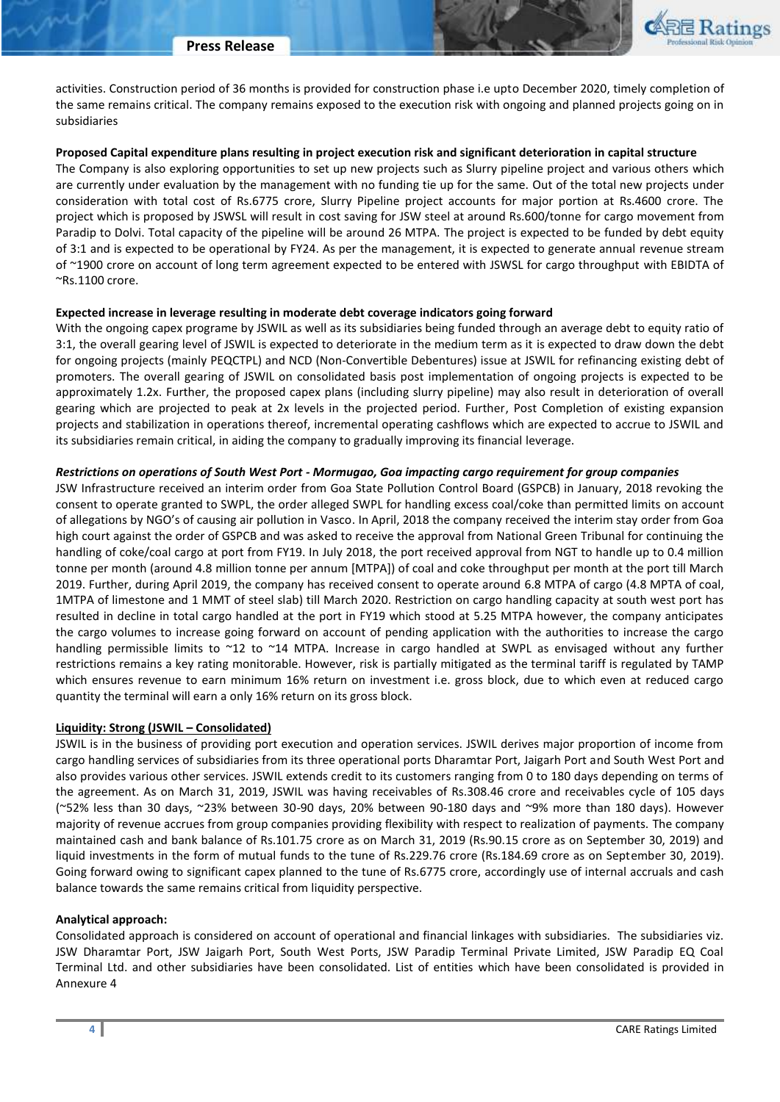

activities. Construction period of 36 months is provided for construction phase i.e upto December 2020, timely completion of the same remains critical. The company remains exposed to the execution risk with ongoing and planned projects going on in subsidiaries

## **Proposed Capital expenditure plans resulting in project execution risk and significant deterioration in capital structure**

The Company is also exploring opportunities to set up new projects such as Slurry pipeline project and various others which are currently under evaluation by the management with no funding tie up for the same. Out of the total new projects under consideration with total cost of Rs.6775 crore, Slurry Pipeline project accounts for major portion at Rs.4600 crore. The project which is proposed by JSWSL will result in cost saving for JSW steel at around Rs.600/tonne for cargo movement from Paradip to Dolvi. Total capacity of the pipeline will be around 26 MTPA. The project is expected to be funded by debt equity of 3:1 and is expected to be operational by FY24. As per the management, it is expected to generate annual revenue stream of ~1900 crore on account of long term agreement expected to be entered with JSWSL for cargo throughput with EBIDTA of ~Rs.1100 crore.

### **Expected increase in leverage resulting in moderate debt coverage indicators going forward**

With the ongoing capex programe by JSWIL as well as its subsidiaries being funded through an average debt to equity ratio of 3:1, the overall gearing level of JSWIL is expected to deteriorate in the medium term as it is expected to draw down the debt for ongoing projects (mainly PEQCTPL) and NCD (Non-Convertible Debentures) issue at JSWIL for refinancing existing debt of promoters. The overall gearing of JSWIL on consolidated basis post implementation of ongoing projects is expected to be approximately 1.2x. Further, the proposed capex plans (including slurry pipeline) may also result in deterioration of overall gearing which are projected to peak at 2x levels in the projected period. Further, Post Completion of existing expansion projects and stabilization in operations thereof, incremental operating cashflows which are expected to accrue to JSWIL and its subsidiaries remain critical, in aiding the company to gradually improving its financial leverage.

## *Restrictions on operations of South West Port - Mormugao, Goa impacting cargo requirement for group companies*

JSW Infrastructure received an interim order from Goa State Pollution Control Board (GSPCB) in January, 2018 revoking the consent to operate granted to SWPL, the order alleged SWPL for handling excess coal/coke than permitted limits on account of allegations by NGO's of causing air pollution in Vasco. In April, 2018 the company received the interim stay order from Goa high court against the order of GSPCB and was asked to receive the approval from National Green Tribunal for continuing the handling of coke/coal cargo at port from FY19. In July 2018, the port received approval from NGT to handle up to 0.4 million tonne per month (around 4.8 million tonne per annum [MTPA]) of coal and coke throughput per month at the port till March 2019. Further, during April 2019, the company has received consent to operate around 6.8 MTPA of cargo (4.8 MPTA of coal, 1MTPA of limestone and 1 MMT of steel slab) till March 2020. Restriction on cargo handling capacity at south west port has resulted in decline in total cargo handled at the port in FY19 which stood at 5.25 MTPA however, the company anticipates the cargo volumes to increase going forward on account of pending application with the authorities to increase the cargo handling permissible limits to ~12 to ~14 MTPA. Increase in cargo handled at SWPL as envisaged without any further restrictions remains a key rating monitorable. However, risk is partially mitigated as the terminal tariff is regulated by TAMP which ensures revenue to earn minimum 16% return on investment i.e. gross block, due to which even at reduced cargo quantity the terminal will earn a only 16% return on its gross block.

# **Liquidity: Strong (JSWIL – Consolidated)**

JSWIL is in the business of providing port execution and operation services. JSWIL derives major proportion of income from cargo handling services of subsidiaries from its three operational ports Dharamtar Port, Jaigarh Port and South West Port and also provides various other services. JSWIL extends credit to its customers ranging from 0 to 180 days depending on terms of the agreement. As on March 31, 2019, JSWIL was having receivables of Rs.308.46 crore and receivables cycle of 105 days (~52% less than 30 days, ~23% between 30-90 days, 20% between 90-180 days and ~9% more than 180 days). However majority of revenue accrues from group companies providing flexibility with respect to realization of payments. The company maintained cash and bank balance of Rs.101.75 crore as on March 31, 2019 (Rs.90.15 crore as on September 30, 2019) and liquid investments in the form of mutual funds to the tune of Rs.229.76 crore (Rs.184.69 crore as on September 30, 2019). Going forward owing to significant capex planned to the tune of Rs.6775 crore, accordingly use of internal accruals and cash balance towards the same remains critical from liquidity perspective.

### **Analytical approach:**

Consolidated approach is considered on account of operational and financial linkages with subsidiaries. The subsidiaries viz. JSW Dharamtar Port, JSW Jaigarh Port, South West Ports, JSW Paradip Terminal Private Limited, JSW Paradip EQ Coal Terminal Ltd. and other subsidiaries have been consolidated. List of entities which have been consolidated is provided in Annexure 4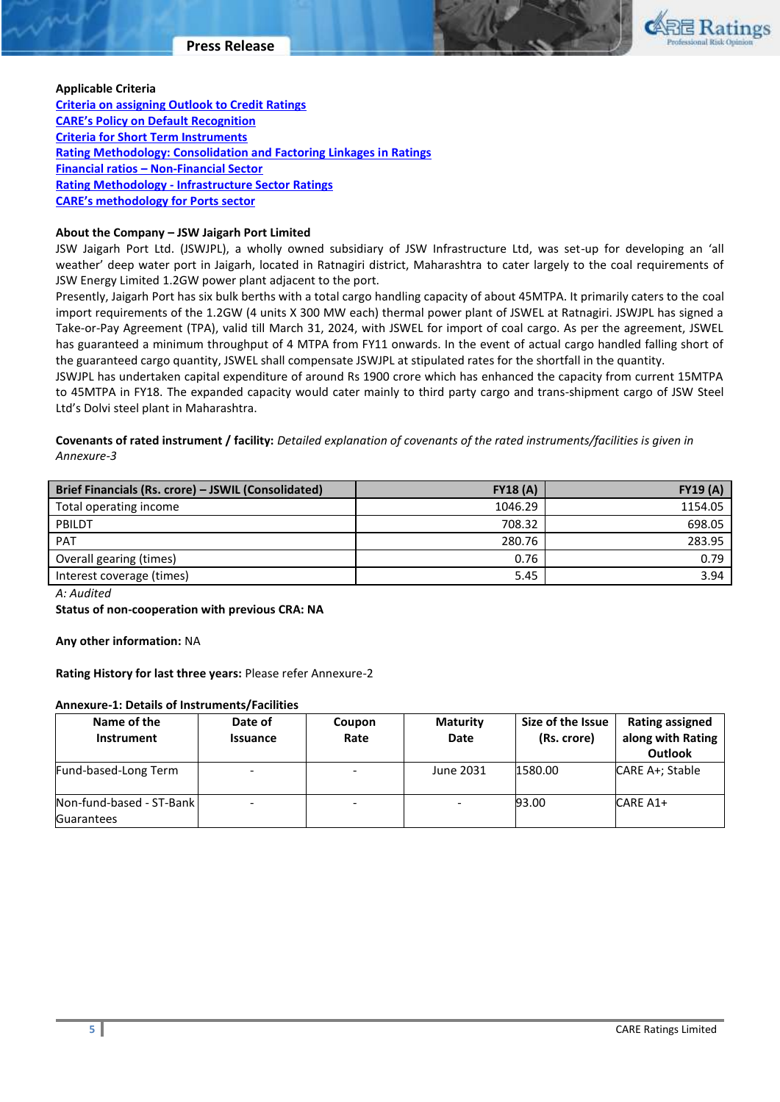

#### **Applicable Criteria**

**[Criteria on assigning Outlook to Credit Ratings](http://www.careratings.com/pdf/resources/Rating_Outlook_and_credit_watch_May_2019.pdf) [CARE's Policy on Default Recognition](http://www.careratings.com/pdf/resources/CARE) [Criteria for Short Term Instruments](http://www.careratings.com/upload/NewsFiles/GetRated/ShortTermInstruments-06-Sept-2018.pdf) [Rating Methodology: Consolidation and Factoring Linkages in Ratings](http://www.careratings.com/upload/NewsFiles/GetRated/Rating%20Methodology%20-%20Consolidation%20&%20Factoring%20Linkages%20in%20Ratings-Oct-19.pdf) Financial ratios – [Non-Financial Sector](http://www.careratings.com/pdf/resources/Financial%20ratios%20-%20Non%20Financial%20Sector-Sept2019.pdf) Rating Methodology - [Infrastructure Sector Ratings](http://www.careratings.com/upload/NewsFiles/GetRated/Rating%20methodology%20-%20Infrastructure%20Sector%20Ratings_Jan2020.pdf) [CARE's methodology for P](http://www.careratings.com/upload/NewsFiles/GetRated/Rating%20methodology%20Port%20Projects_6-Dec2019.pdf)orts sector**

## **About the Company – JSW Jaigarh Port Limited**

JSW Jaigarh Port Ltd. (JSWJPL), a wholly owned subsidiary of JSW Infrastructure Ltd, was set-up for developing an 'all weather' deep water port in Jaigarh, located in Ratnagiri district, Maharashtra to cater largely to the coal requirements of JSW Energy Limited 1.2GW power plant adjacent to the port.

Presently, Jaigarh Port has six bulk berths with a total cargo handling capacity of about 45MTPA. It primarily caters to the coal import requirements of the 1.2GW (4 units X 300 MW each) thermal power plant of JSWEL at Ratnagiri. JSWJPL has signed a Take-or-Pay Agreement (TPA), valid till March 31, 2024, with JSWEL for import of coal cargo. As per the agreement, JSWEL has guaranteed a minimum throughput of 4 MTPA from FY11 onwards. In the event of actual cargo handled falling short of the guaranteed cargo quantity, JSWEL shall compensate JSWJPL at stipulated rates for the shortfall in the quantity.

JSWJPL has undertaken capital expenditure of around Rs 1900 crore which has enhanced the capacity from current 15MTPA to 45MTPA in FY18. The expanded capacity would cater mainly to third party cargo and trans-shipment cargo of JSW Steel Ltd's Dolvi steel plant in Maharashtra.

**Covenants of rated instrument / facility:** *Detailed explanation of covenants of the rated instruments/facilities is given in Annexure-3*

| Brief Financials (Rs. crore) - JSWIL (Consolidated) | FY18(A) | <b>FY19 (A)</b> |
|-----------------------------------------------------|---------|-----------------|
| Total operating income                              | 1046.29 | 1154.05         |
| PBILDT                                              | 708.32  | 698.05          |
| <b>PAT</b>                                          | 280.76  | 283.95          |
| Overall gearing (times)                             | 0.76    | 0.79            |
| Interest coverage (times)                           | 5.45    | 3.94            |

*A: Audited*

**Status of non-cooperation with previous CRA: NA**

**Any other information:** NA

**Rating History for last three years:** Please refer Annexure-2

### **Annexure-1: Details of Instruments/Facilities**

| Name of the<br>Instrument                     | Date of<br>Issuance | Coupon<br>Rate           | <b>Maturity</b><br>Date | Size of the Issue<br>(Rs. crore) | <b>Rating assigned</b><br>along with Rating<br><b>Outlook</b> |
|-----------------------------------------------|---------------------|--------------------------|-------------------------|----------------------------------|---------------------------------------------------------------|
| Fund-based-Long Term                          |                     | -                        | June 2031               | 1580.00                          | CARE A+; Stable                                               |
| Non-fund-based - ST-Bank<br><b>Guarantees</b> |                     | $\overline{\phantom{a}}$ |                         | 93.00                            | CARE A1+                                                      |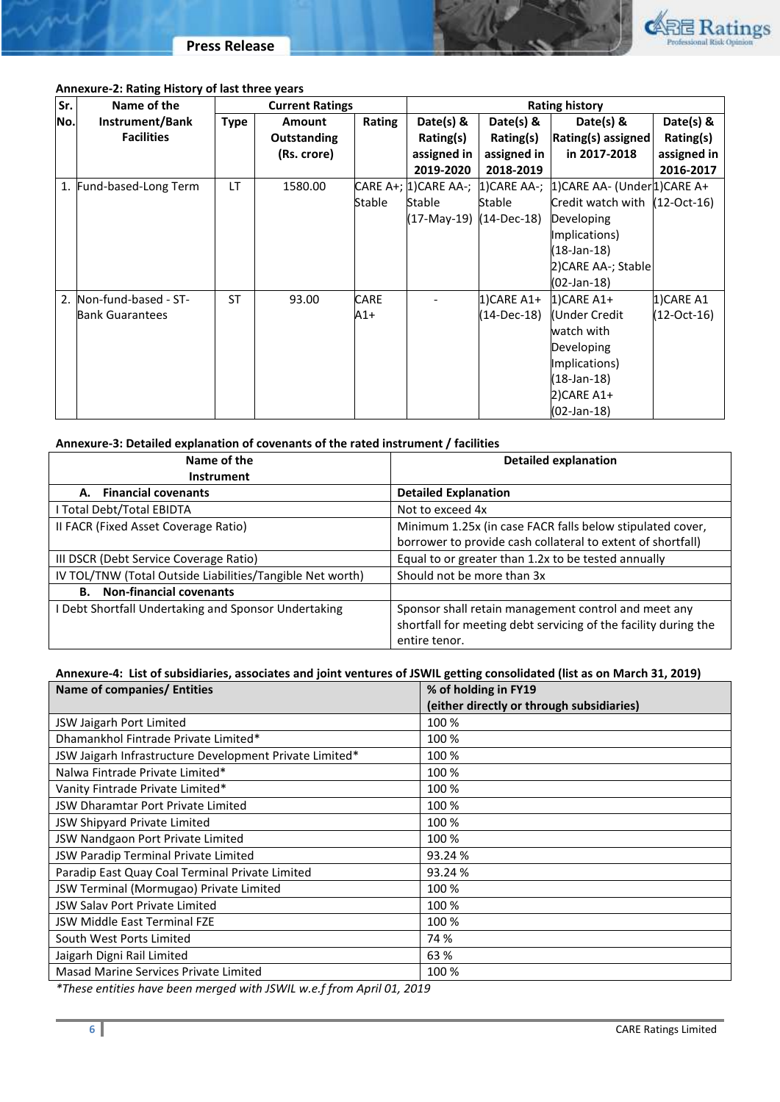



# **Annexure-2: Rating History of last three years**

| Sr. | Name of the             | <b>Current Ratings</b> |                    |        | <b>Rating history</b>   |               |                                 |             |
|-----|-------------------------|------------------------|--------------------|--------|-------------------------|---------------|---------------------------------|-------------|
| No. | Instrument/Bank         | <b>Type</b>            | Amount             | Rating | Date(s) &               | Date(s) &     | Date(s) $8$                     | Date(s) &   |
|     | <b>Facilities</b>       |                        | <b>Outstanding</b> |        | Rating(s)               | Rating(s)     | <b>Rating(s) assigned</b>       | Rating(s)   |
|     |                         |                        | (Rs. crore)        |        | assigned in             | assigned in   | in 2017-2018                    | assigned in |
|     |                         |                        |                    |        | 2019-2020               | 2018-2019     |                                 | 2016-2017   |
| 1.  | Fund-based-Long Term    | LT                     | 1580.00            |        |                         |               |                                 |             |
|     |                         |                        |                    | Stable | Stable                  | Stable        | Credit watch with $(12-Oct-16)$ |             |
|     |                         |                        |                    |        | (17-May-19) (14-Dec-18) |               | Developing                      |             |
|     |                         |                        |                    |        |                         |               | Implications)                   |             |
|     |                         |                        |                    |        |                         |               | $(18-Jan-18)$                   |             |
|     |                         |                        |                    |        |                         |               | 2)CARE AA-; Stable              |             |
|     |                         |                        |                    |        |                         |               | (02-Jan-18)                     |             |
|     | 2. Non-fund-based - ST- | <b>ST</b>              | 93.00              | CARE   |                         | $1)$ CARE A1+ | $1$ CARE A1+                    | 1)CARE A1   |
|     | <b>Bank Guarantees</b>  |                        |                    | A1+    |                         | (14-Dec-18)   | Under Credit                    | (12-Oct-16) |
|     |                         |                        |                    |        |                         |               | watch with                      |             |
|     |                         |                        |                    |        |                         |               | Developing                      |             |
|     |                         |                        |                    |        |                         |               | Implications)                   |             |
|     |                         |                        |                    |        |                         |               | $(18$ -Jan-18)                  |             |
|     |                         |                        |                    |        |                         |               | 2)CARE A1+                      |             |
|     |                         |                        |                    |        |                         |               | $(02-Jan-18)$                   |             |

# **Annexure-3: Detailed explanation of covenants of the rated instrument / facilities**

| Name of the                                               | <b>Detailed explanation</b>                                     |  |  |
|-----------------------------------------------------------|-----------------------------------------------------------------|--|--|
| <b>Instrument</b>                                         |                                                                 |  |  |
| A. Financial covenants                                    | <b>Detailed Explanation</b>                                     |  |  |
| I Total Debt/Total EBIDTA                                 | Not to exceed 4x                                                |  |  |
| II FACR (Fixed Asset Coverage Ratio)                      | Minimum 1.25x (in case FACR falls below stipulated cover,       |  |  |
|                                                           | borrower to provide cash collateral to extent of shortfall)     |  |  |
| III DSCR (Debt Service Coverage Ratio)                    | Equal to or greater than 1.2x to be tested annually             |  |  |
| IV TOL/TNW (Total Outside Liabilities/Tangible Net worth) | Should not be more than 3x                                      |  |  |
| <b>Non-financial covenants</b><br><b>B.</b>               |                                                                 |  |  |
| I Debt Shortfall Undertaking and Sponsor Undertaking      | Sponsor shall retain management control and meet any            |  |  |
|                                                           | shortfall for meeting debt servicing of the facility during the |  |  |
|                                                           | entire tenor.                                                   |  |  |

# **Annexure-4: List of subsidiaries, associates and joint ventures of JSWIL getting consolidated (list as on March 31, 2019)**

| Name of companies/ Entities                             | % of holding in FY19                      |  |  |
|---------------------------------------------------------|-------------------------------------------|--|--|
|                                                         | (either directly or through subsidiaries) |  |  |
| JSW Jaigarh Port Limited                                | 100 %                                     |  |  |
| Dhamankhol Fintrade Private Limited*                    | 100 %                                     |  |  |
| JSW Jaigarh Infrastructure Development Private Limited* | 100 %                                     |  |  |
| Nalwa Fintrade Private Limited*                         | 100 %                                     |  |  |
| Vanity Fintrade Private Limited*                        | 100 %                                     |  |  |
| <b>JSW Dharamtar Port Private Limited</b>               | 100 %                                     |  |  |
| JSW Shipyard Private Limited                            | 100 %                                     |  |  |
| JSW Nandgaon Port Private Limited                       | 100 %                                     |  |  |
| JSW Paradip Terminal Private Limited                    | 93.24 %                                   |  |  |
| Paradip East Quay Coal Terminal Private Limited         | 93.24 %                                   |  |  |
| JSW Terminal (Mormugao) Private Limited                 | 100 %                                     |  |  |
| <b>JSW Salav Port Private Limited</b>                   | 100 %                                     |  |  |
| <b>JSW Middle East Terminal FZE</b>                     | 100 %                                     |  |  |
| South West Ports Limited                                | 74 %                                      |  |  |
| Jaigarh Digni Rail Limited                              | 63 %                                      |  |  |
| Masad Marine Services Private Limited                   | 100 %                                     |  |  |

*\*These entities have been merged with JSWIL w.e.f from April 01, 2019*